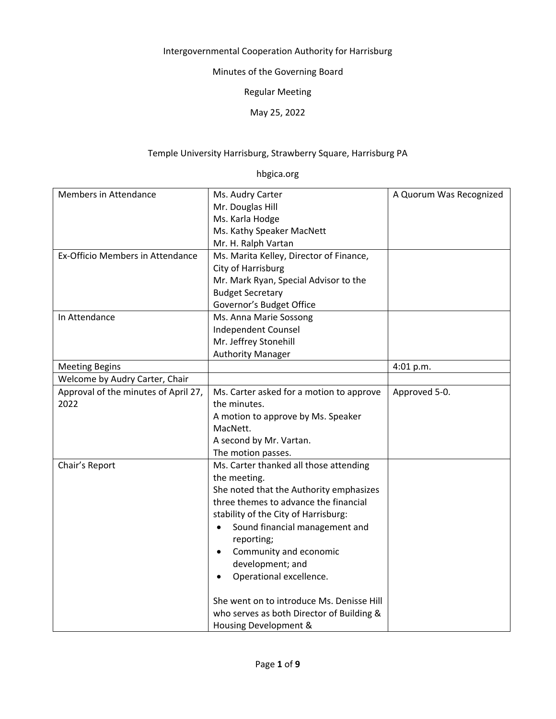## Intergovernmental Cooperation Authority for Harrisburg

Minutes of the Governing Board

Regular Meeting

May 25, 2022

## Temple University Harrisburg, Strawberry Square, Harrisburg PA

hbgica.org

| Members in Attendance<br>Ms. Audry Carter<br>A Quorum Was Recognized<br>Mr. Douglas Hill<br>Ms. Karla Hodge<br>Ms. Kathy Speaker MacNett<br>Mr. H. Ralph Vartan<br>Ex-Officio Members in Attendance<br>Ms. Marita Kelley, Director of Finance,<br>City of Harrisburg<br>Mr. Mark Ryan, Special Advisor to the<br><b>Budget Secretary</b> |                          |  |
|------------------------------------------------------------------------------------------------------------------------------------------------------------------------------------------------------------------------------------------------------------------------------------------------------------------------------------------|--------------------------|--|
|                                                                                                                                                                                                                                                                                                                                          |                          |  |
|                                                                                                                                                                                                                                                                                                                                          |                          |  |
|                                                                                                                                                                                                                                                                                                                                          |                          |  |
|                                                                                                                                                                                                                                                                                                                                          |                          |  |
|                                                                                                                                                                                                                                                                                                                                          |                          |  |
|                                                                                                                                                                                                                                                                                                                                          |                          |  |
|                                                                                                                                                                                                                                                                                                                                          |                          |  |
|                                                                                                                                                                                                                                                                                                                                          |                          |  |
|                                                                                                                                                                                                                                                                                                                                          |                          |  |
|                                                                                                                                                                                                                                                                                                                                          | Governor's Budget Office |  |
| In Attendance<br>Ms. Anna Marie Sossong                                                                                                                                                                                                                                                                                                  |                          |  |
| <b>Independent Counsel</b>                                                                                                                                                                                                                                                                                                               |                          |  |
| Mr. Jeffrey Stonehill                                                                                                                                                                                                                                                                                                                    |                          |  |
| <b>Authority Manager</b>                                                                                                                                                                                                                                                                                                                 |                          |  |
| <b>Meeting Begins</b><br>4:01 p.m.                                                                                                                                                                                                                                                                                                       |                          |  |
| Welcome by Audry Carter, Chair                                                                                                                                                                                                                                                                                                           |                          |  |
| Approval of the minutes of April 27,<br>Ms. Carter asked for a motion to approve<br>Approved 5-0.                                                                                                                                                                                                                                        |                          |  |
| 2022<br>the minutes.                                                                                                                                                                                                                                                                                                                     |                          |  |
| A motion to approve by Ms. Speaker                                                                                                                                                                                                                                                                                                       |                          |  |
| MacNett.                                                                                                                                                                                                                                                                                                                                 |                          |  |
| A second by Mr. Vartan.                                                                                                                                                                                                                                                                                                                  |                          |  |
| The motion passes.                                                                                                                                                                                                                                                                                                                       |                          |  |
| Chair's Report<br>Ms. Carter thanked all those attending                                                                                                                                                                                                                                                                                 |                          |  |
| the meeting.                                                                                                                                                                                                                                                                                                                             |                          |  |
| She noted that the Authority emphasizes                                                                                                                                                                                                                                                                                                  |                          |  |
| three themes to advance the financial                                                                                                                                                                                                                                                                                                    |                          |  |
| stability of the City of Harrisburg:                                                                                                                                                                                                                                                                                                     |                          |  |
| Sound financial management and                                                                                                                                                                                                                                                                                                           |                          |  |
| reporting;                                                                                                                                                                                                                                                                                                                               |                          |  |
| Community and economic<br>$\bullet$                                                                                                                                                                                                                                                                                                      |                          |  |
|                                                                                                                                                                                                                                                                                                                                          |                          |  |
| development; and                                                                                                                                                                                                                                                                                                                         |                          |  |
| Operational excellence.                                                                                                                                                                                                                                                                                                                  |                          |  |
| She went on to introduce Ms. Denisse Hill                                                                                                                                                                                                                                                                                                |                          |  |
| who serves as both Director of Building &                                                                                                                                                                                                                                                                                                |                          |  |
| Housing Development &                                                                                                                                                                                                                                                                                                                    |                          |  |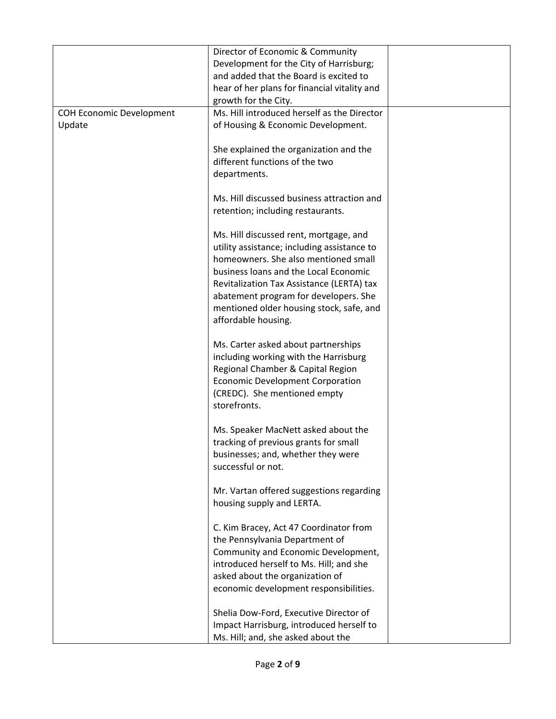|                                 | Director of Economic & Community                                               |  |
|---------------------------------|--------------------------------------------------------------------------------|--|
|                                 | Development for the City of Harrisburg;                                        |  |
|                                 | and added that the Board is excited to                                         |  |
|                                 | hear of her plans for financial vitality and                                   |  |
|                                 | growth for the City.                                                           |  |
| <b>COH Economic Development</b> | Ms. Hill introduced herself as the Director                                    |  |
| Update                          | of Housing & Economic Development.                                             |  |
|                                 |                                                                                |  |
|                                 | She explained the organization and the                                         |  |
|                                 | different functions of the two                                                 |  |
|                                 | departments.                                                                   |  |
|                                 |                                                                                |  |
|                                 | Ms. Hill discussed business attraction and                                     |  |
|                                 | retention; including restaurants.                                              |  |
|                                 |                                                                                |  |
|                                 | Ms. Hill discussed rent, mortgage, and                                         |  |
|                                 | utility assistance; including assistance to                                    |  |
|                                 | homeowners. She also mentioned small                                           |  |
|                                 | business loans and the Local Economic                                          |  |
|                                 | Revitalization Tax Assistance (LERTA) tax                                      |  |
|                                 | abatement program for developers. She                                          |  |
|                                 | mentioned older housing stock, safe, and                                       |  |
|                                 | affordable housing.                                                            |  |
|                                 |                                                                                |  |
|                                 | Ms. Carter asked about partnerships                                            |  |
|                                 | including working with the Harrisburg                                          |  |
|                                 | Regional Chamber & Capital Region                                              |  |
|                                 | <b>Economic Development Corporation</b>                                        |  |
|                                 | (CREDC). She mentioned empty                                                   |  |
|                                 | storefronts.                                                                   |  |
|                                 |                                                                                |  |
|                                 | Ms. Speaker MacNett asked about the                                            |  |
|                                 | tracking of previous grants for small                                          |  |
|                                 | businesses; and, whether they were                                             |  |
|                                 | successful or not.                                                             |  |
|                                 |                                                                                |  |
|                                 | Mr. Vartan offered suggestions regarding                                       |  |
|                                 | housing supply and LERTA.                                                      |  |
|                                 |                                                                                |  |
|                                 | C. Kim Bracey, Act 47 Coordinator from                                         |  |
|                                 | the Pennsylvania Department of                                                 |  |
|                                 | Community and Economic Development,<br>introduced herself to Ms. Hill; and she |  |
|                                 |                                                                                |  |
|                                 | asked about the organization of                                                |  |
|                                 | economic development responsibilities.                                         |  |
|                                 | Shelia Dow-Ford, Executive Director of                                         |  |
|                                 | Impact Harrisburg, introduced herself to                                       |  |
|                                 | Ms. Hill; and, she asked about the                                             |  |
|                                 |                                                                                |  |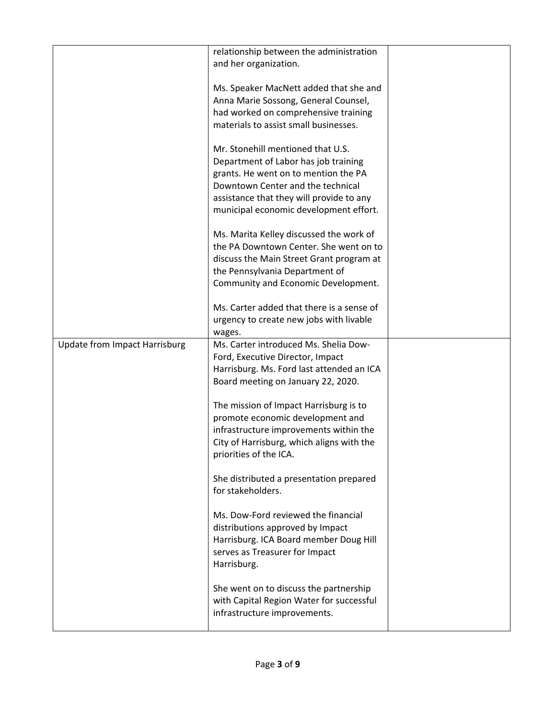|                                      | relationship between the administration   |  |
|--------------------------------------|-------------------------------------------|--|
|                                      | and her organization.                     |  |
|                                      |                                           |  |
|                                      |                                           |  |
|                                      | Ms. Speaker MacNett added that she and    |  |
|                                      | Anna Marie Sossong, General Counsel,      |  |
|                                      | had worked on comprehensive training      |  |
|                                      | materials to assist small businesses.     |  |
|                                      |                                           |  |
|                                      |                                           |  |
|                                      | Mr. Stonehill mentioned that U.S.         |  |
|                                      | Department of Labor has job training      |  |
|                                      | grants. He went on to mention the PA      |  |
|                                      |                                           |  |
|                                      | Downtown Center and the technical         |  |
|                                      | assistance that they will provide to any  |  |
|                                      | municipal economic development effort.    |  |
|                                      |                                           |  |
|                                      |                                           |  |
|                                      | Ms. Marita Kelley discussed the work of   |  |
|                                      | the PA Downtown Center. She went on to    |  |
|                                      | discuss the Main Street Grant program at  |  |
|                                      | the Pennsylvania Department of            |  |
|                                      |                                           |  |
|                                      | Community and Economic Development.       |  |
|                                      |                                           |  |
|                                      | Ms. Carter added that there is a sense of |  |
|                                      | urgency to create new jobs with livable   |  |
|                                      |                                           |  |
|                                      | wages.                                    |  |
| <b>Update from Impact Harrisburg</b> | Ms. Carter introduced Ms. Shelia Dow-     |  |
|                                      | Ford, Executive Director, Impact          |  |
|                                      | Harrisburg. Ms. Ford last attended an ICA |  |
|                                      |                                           |  |
|                                      | Board meeting on January 22, 2020.        |  |
|                                      |                                           |  |
|                                      | The mission of Impact Harrisburg is to    |  |
|                                      | promote economic development and          |  |
|                                      | infrastructure improvements within the    |  |
|                                      |                                           |  |
|                                      | City of Harrisburg, which aligns with the |  |
|                                      | priorities of the ICA.                    |  |
|                                      |                                           |  |
|                                      | She distributed a presentation prepared   |  |
|                                      |                                           |  |
|                                      | for stakeholders.                         |  |
|                                      |                                           |  |
|                                      | Ms. Dow-Ford reviewed the financial       |  |
|                                      | distributions approved by Impact          |  |
|                                      | Harrisburg. ICA Board member Doug Hill    |  |
|                                      |                                           |  |
|                                      | serves as Treasurer for Impact            |  |
|                                      | Harrisburg.                               |  |
|                                      |                                           |  |
|                                      | She went on to discuss the partnership    |  |
|                                      |                                           |  |
|                                      | with Capital Region Water for successful  |  |
|                                      | infrastructure improvements.              |  |
|                                      |                                           |  |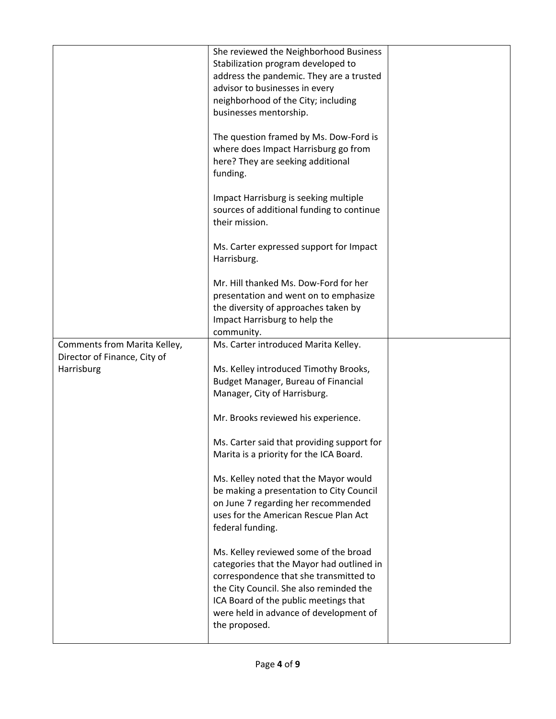|                                            | She reviewed the Neighborhood Business<br>Stabilization program developed to<br>address the pandemic. They are a trusted<br>advisor to businesses in every                                                                                                                  |  |
|--------------------------------------------|-----------------------------------------------------------------------------------------------------------------------------------------------------------------------------------------------------------------------------------------------------------------------------|--|
|                                            | neighborhood of the City; including<br>businesses mentorship.                                                                                                                                                                                                               |  |
|                                            | The question framed by Ms. Dow-Ford is<br>where does Impact Harrisburg go from<br>here? They are seeking additional<br>funding.                                                                                                                                             |  |
|                                            | Impact Harrisburg is seeking multiple<br>sources of additional funding to continue<br>their mission.                                                                                                                                                                        |  |
|                                            | Ms. Carter expressed support for Impact<br>Harrisburg.                                                                                                                                                                                                                      |  |
|                                            | Mr. Hill thanked Ms. Dow-Ford for her<br>presentation and went on to emphasize<br>the diversity of approaches taken by<br>Impact Harrisburg to help the<br>community.                                                                                                       |  |
| Comments from Marita Kelley,               | Ms. Carter introduced Marita Kelley.                                                                                                                                                                                                                                        |  |
| Director of Finance, City of<br>Harrisburg | Ms. Kelley introduced Timothy Brooks,<br>Budget Manager, Bureau of Financial<br>Manager, City of Harrisburg.                                                                                                                                                                |  |
|                                            | Mr. Brooks reviewed his experience.                                                                                                                                                                                                                                         |  |
|                                            | Ms. Carter said that providing support for<br>Marita is a priority for the ICA Board.                                                                                                                                                                                       |  |
|                                            | Ms. Kelley noted that the Mayor would<br>be making a presentation to City Council<br>on June 7 regarding her recommended<br>uses for the American Rescue Plan Act<br>federal funding.                                                                                       |  |
|                                            | Ms. Kelley reviewed some of the broad<br>categories that the Mayor had outlined in<br>correspondence that she transmitted to<br>the City Council. She also reminded the<br>ICA Board of the public meetings that<br>were held in advance of development of<br>the proposed. |  |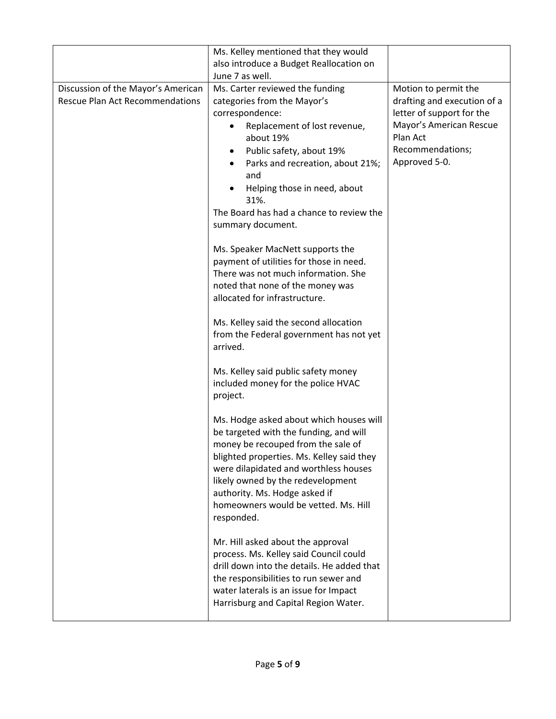|                                                                              | Ms. Kelley mentioned that they would                                                                                                                                                                                                                                                                                                                                                                                                                                                                                                                                                                                                                                                                                                                                                    |                                                                                                                                                              |
|------------------------------------------------------------------------------|-----------------------------------------------------------------------------------------------------------------------------------------------------------------------------------------------------------------------------------------------------------------------------------------------------------------------------------------------------------------------------------------------------------------------------------------------------------------------------------------------------------------------------------------------------------------------------------------------------------------------------------------------------------------------------------------------------------------------------------------------------------------------------------------|--------------------------------------------------------------------------------------------------------------------------------------------------------------|
|                                                                              | also introduce a Budget Reallocation on                                                                                                                                                                                                                                                                                                                                                                                                                                                                                                                                                                                                                                                                                                                                                 |                                                                                                                                                              |
|                                                                              | June 7 as well.                                                                                                                                                                                                                                                                                                                                                                                                                                                                                                                                                                                                                                                                                                                                                                         |                                                                                                                                                              |
| Discussion of the Mayor's American<br><b>Rescue Plan Act Recommendations</b> | Ms. Carter reviewed the funding<br>categories from the Mayor's<br>correspondence:<br>Replacement of lost revenue,<br>about 19%<br>Public safety, about 19%<br>Parks and recreation, about 21%;<br>and<br>Helping those in need, about<br>31%.<br>The Board has had a chance to review the<br>summary document.<br>Ms. Speaker MacNett supports the<br>payment of utilities for those in need.<br>There was not much information. She<br>noted that none of the money was<br>allocated for infrastructure.<br>Ms. Kelley said the second allocation<br>from the Federal government has not yet<br>arrived.<br>Ms. Kelley said public safety money<br>included money for the police HVAC<br>project.<br>Ms. Hodge asked about which houses will<br>be targeted with the funding, and will | Motion to permit the<br>drafting and execution of a<br>letter of support for the<br>Mayor's American Rescue<br>Plan Act<br>Recommendations;<br>Approved 5-0. |
|                                                                              | money be recouped from the sale of<br>blighted properties. Ms. Kelley said they<br>were dilapidated and worthless houses<br>likely owned by the redevelopment<br>authority. Ms. Hodge asked if<br>homeowners would be vetted. Ms. Hill<br>responded.                                                                                                                                                                                                                                                                                                                                                                                                                                                                                                                                    |                                                                                                                                                              |
|                                                                              | Mr. Hill asked about the approval<br>process. Ms. Kelley said Council could<br>drill down into the details. He added that<br>the responsibilities to run sewer and<br>water laterals is an issue for Impact<br>Harrisburg and Capital Region Water.                                                                                                                                                                                                                                                                                                                                                                                                                                                                                                                                     |                                                                                                                                                              |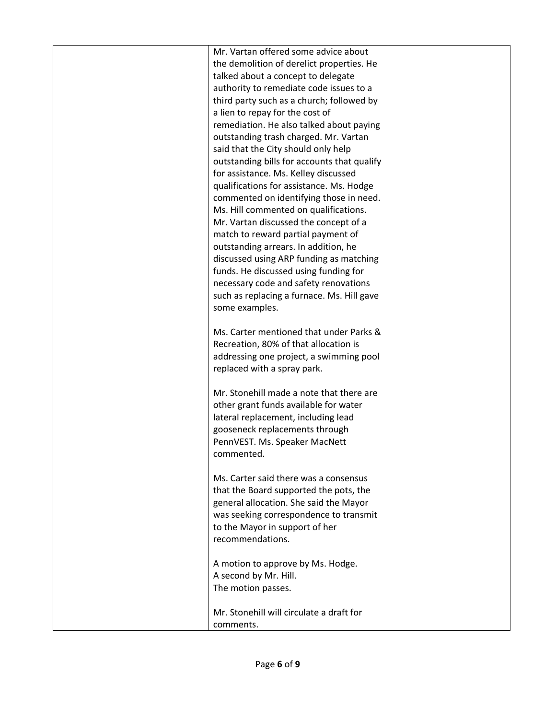| Mr. Vartan offered some advice about<br>the demolition of derelict properties. He<br>talked about a concept to delegate<br>authority to remediate code issues to a<br>third party such as a church; followed by<br>a lien to repay for the cost of<br>remediation. He also talked about paying<br>outstanding trash charged. Mr. Vartan<br>said that the City should only help<br>outstanding bills for accounts that qualify<br>for assistance. Ms. Kelley discussed<br>qualifications for assistance. Ms. Hodge<br>commented on identifying those in need.<br>Ms. Hill commented on qualifications.<br>Mr. Vartan discussed the concept of a<br>match to reward partial payment of<br>outstanding arrears. In addition, he<br>discussed using ARP funding as matching<br>funds. He discussed using funding for<br>necessary code and safety renovations<br>such as replacing a furnace. Ms. Hill gave<br>some examples. |  |
|---------------------------------------------------------------------------------------------------------------------------------------------------------------------------------------------------------------------------------------------------------------------------------------------------------------------------------------------------------------------------------------------------------------------------------------------------------------------------------------------------------------------------------------------------------------------------------------------------------------------------------------------------------------------------------------------------------------------------------------------------------------------------------------------------------------------------------------------------------------------------------------------------------------------------|--|
| Ms. Carter mentioned that under Parks &<br>Recreation, 80% of that allocation is<br>addressing one project, a swimming pool<br>replaced with a spray park.                                                                                                                                                                                                                                                                                                                                                                                                                                                                                                                                                                                                                                                                                                                                                                |  |
| Mr. Stonehill made a note that there are<br>other grant funds available for water<br>lateral replacement, including lead<br>gooseneck replacements through<br>PennVEST. Ms. Speaker MacNett<br>commented.                                                                                                                                                                                                                                                                                                                                                                                                                                                                                                                                                                                                                                                                                                                 |  |
| Ms. Carter said there was a consensus<br>that the Board supported the pots, the<br>general allocation. She said the Mayor<br>was seeking correspondence to transmit<br>to the Mayor in support of her<br>recommendations.                                                                                                                                                                                                                                                                                                                                                                                                                                                                                                                                                                                                                                                                                                 |  |
| A motion to approve by Ms. Hodge.<br>A second by Mr. Hill.<br>The motion passes.<br>Mr. Stonehill will circulate a draft for                                                                                                                                                                                                                                                                                                                                                                                                                                                                                                                                                                                                                                                                                                                                                                                              |  |
| comments.                                                                                                                                                                                                                                                                                                                                                                                                                                                                                                                                                                                                                                                                                                                                                                                                                                                                                                                 |  |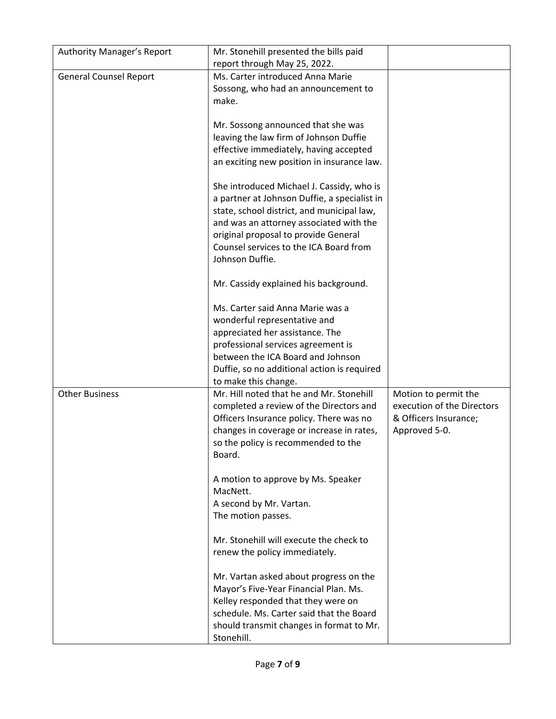| <b>Authority Manager's Report</b> | Mr. Stonehill presented the bills paid<br>report through May 25, 2022.                                                                                                                                                                                               |                                                                                              |
|-----------------------------------|----------------------------------------------------------------------------------------------------------------------------------------------------------------------------------------------------------------------------------------------------------------------|----------------------------------------------------------------------------------------------|
| <b>General Counsel Report</b>     | Ms. Carter introduced Anna Marie<br>Sossong, who had an announcement to<br>make.                                                                                                                                                                                     |                                                                                              |
|                                   | Mr. Sossong announced that she was<br>leaving the law firm of Johnson Duffie<br>effective immediately, having accepted<br>an exciting new position in insurance law.                                                                                                 |                                                                                              |
|                                   | She introduced Michael J. Cassidy, who is<br>a partner at Johnson Duffie, a specialist in<br>state, school district, and municipal law,<br>and was an attorney associated with the<br>original proposal to provide General<br>Counsel services to the ICA Board from |                                                                                              |
|                                   | Johnson Duffie.<br>Mr. Cassidy explained his background.                                                                                                                                                                                                             |                                                                                              |
|                                   | Ms. Carter said Anna Marie was a<br>wonderful representative and<br>appreciated her assistance. The<br>professional services agreement is<br>between the ICA Board and Johnson<br>Duffie, so no additional action is required<br>to make this change.                |                                                                                              |
| <b>Other Business</b>             | Mr. Hill noted that he and Mr. Stonehill<br>completed a review of the Directors and<br>Officers Insurance policy. There was no<br>changes in coverage or increase in rates,<br>so the policy is recommended to the<br>Board.                                         | Motion to permit the<br>execution of the Directors<br>& Officers Insurance;<br>Approved 5-0. |
|                                   | A motion to approve by Ms. Speaker<br>MacNett.<br>A second by Mr. Vartan.<br>The motion passes.                                                                                                                                                                      |                                                                                              |
|                                   | Mr. Stonehill will execute the check to<br>renew the policy immediately.                                                                                                                                                                                             |                                                                                              |
|                                   | Mr. Vartan asked about progress on the<br>Mayor's Five-Year Financial Plan. Ms.<br>Kelley responded that they were on<br>schedule. Ms. Carter said that the Board<br>should transmit changes in format to Mr.<br>Stonehill.                                          |                                                                                              |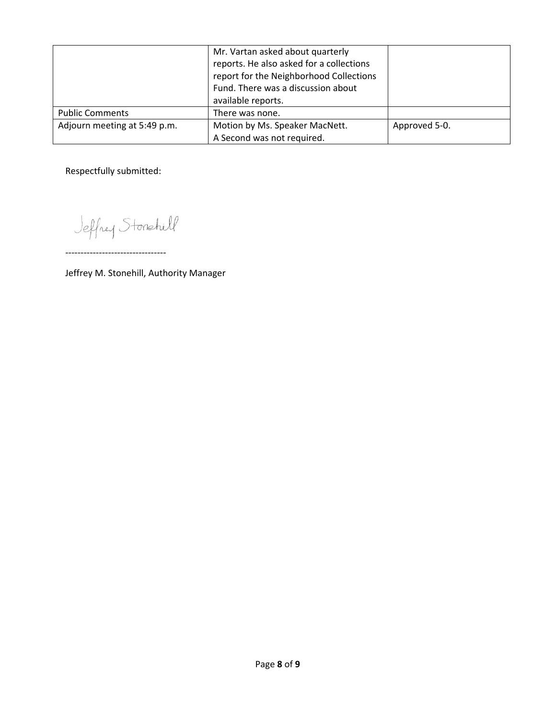|                              | Mr. Vartan asked about quarterly<br>reports. He also asked for a collections<br>report for the Neighborhood Collections<br>Fund. There was a discussion about<br>available reports. |               |
|------------------------------|-------------------------------------------------------------------------------------------------------------------------------------------------------------------------------------|---------------|
| <b>Public Comments</b>       | There was none.                                                                                                                                                                     |               |
| Adjourn meeting at 5:49 p.m. | Motion by Ms. Speaker MacNett.                                                                                                                                                      | Approved 5-0. |
|                              | A Second was not required.                                                                                                                                                          |               |

Respectfully submitted:

Jeffrey Stonetill

‐‐‐‐‐‐‐‐‐‐‐‐‐‐‐‐‐‐‐‐‐‐‐‐‐‐‐‐‐‐‐‐‐

Jeffrey M. Stonehill, Authority Manager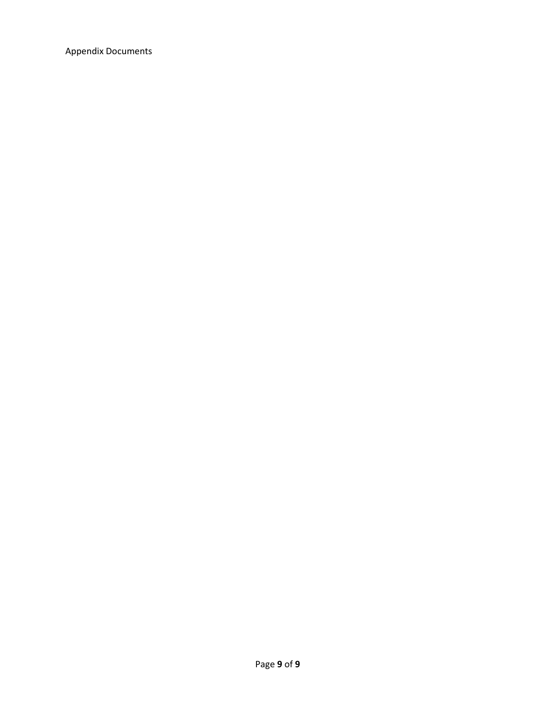Appendix Documents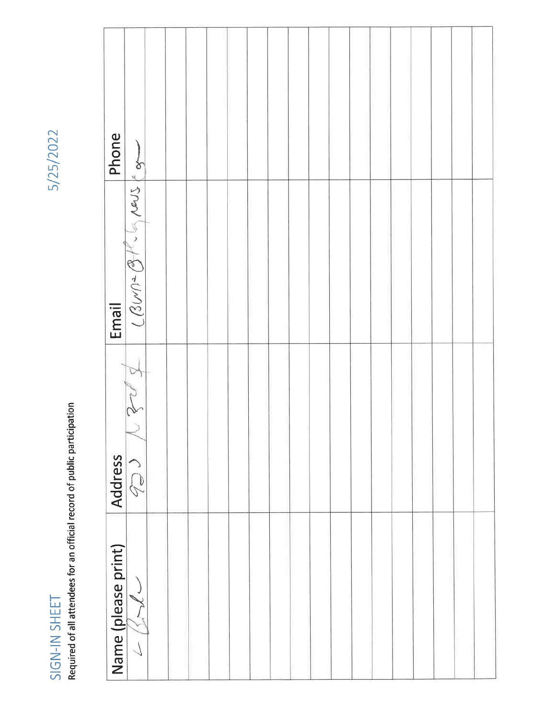5/25/2022

 $SIGN-IN$   $SHEET$ <br>Required of all attendees for an official record of public participation

| Phone               |                   |  |  |  |  |  |  |  |  |  |
|---------------------|-------------------|--|--|--|--|--|--|--|--|--|
| Email               | $L = 20/12$       |  |  |  |  |  |  |  |  |  |
| <b>Address</b>      | $\sqrt{2}$        |  |  |  |  |  |  |  |  |  |
| Name (please print) | ファイン<br>$\langle$ |  |  |  |  |  |  |  |  |  |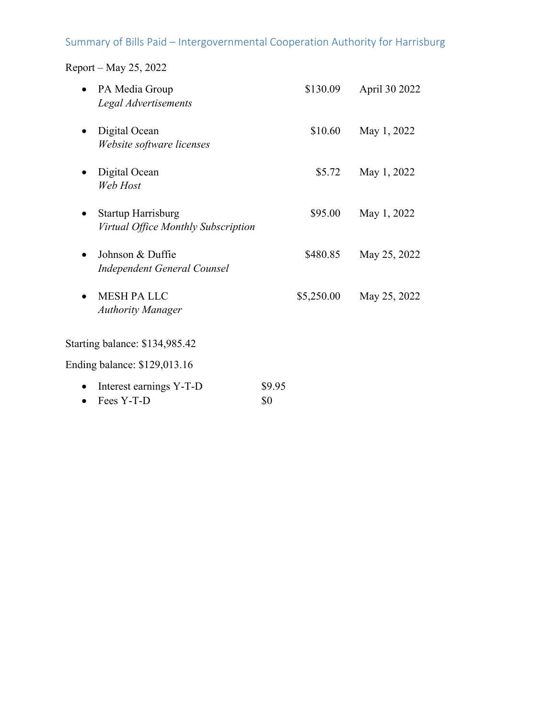# Summary of Bills Paid – Intergovernmental Cooperation Authority for Harrisburg

Report – May 25, 2022

| PA Media Group<br>Legal Advertisements                           |               | \$130.09   | April 30 2022 |
|------------------------------------------------------------------|---------------|------------|---------------|
| Digital Ocean<br>Website software licenses                       |               | \$10.60    | May 1, 2022   |
| Digital Ocean<br>Web Host                                        |               | \$5.72     | May 1, 2022   |
| <b>Startup Harrisburg</b><br>Virtual Office Monthly Subscription |               | \$95.00    | May 1, 2022   |
| Johnson & Duffie<br><b>Independent General Counsel</b>           |               | \$480.85   | May 25, 2022  |
| <b>MESH PA LLC</b><br><b>Authority Manager</b>                   |               | \$5,250.00 | May 25, 2022  |
| Starting balance: \$134,985.42                                   |               |            |               |
| Ending balance: \$129,013.16                                     |               |            |               |
| Interest earnings Y-T-D<br>Fees Y-T-D                            | \$9.95<br>\$0 |            |               |